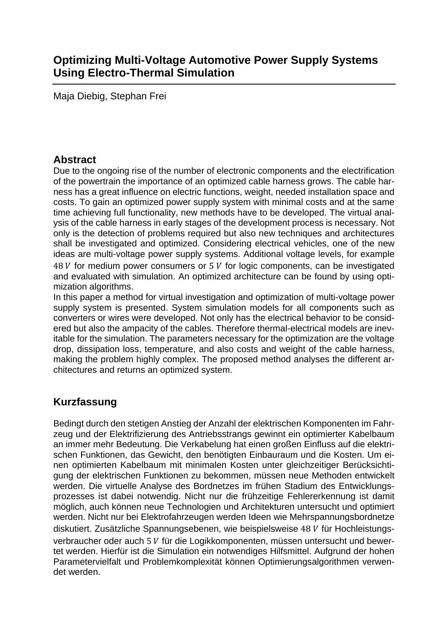Maja Diebig, Stephan Frei

#### **Abstract**

Due to the ongoing rise of the number of electronic components and the electrification of the powertrain the importance of an optimized cable harness grows. The cable harness has a great influence on electric functions, weight, needed installation space and costs. To gain an optimized power supply system with minimal costs and at the same time achieving full functionality, new methods have to be developed. The virtual analysis of the cable harness in early stages of the development process is necessary. Not only is the detection of problems required but also new techniques and architectures shall be investigated and optimized. Considering electrical vehicles, one of the new ideas are multi-voltage power supply systems. Additional voltage levels, for example  $48$  V for medium power consumers or 5 V for logic components, can be investigated and evaluated with simulation. An optimized architecture can be found by using optimization algorithms.

In this paper a method for virtual investigation and optimization of multi-voltage power supply system is presented. System simulation models for all components such as converters or wires were developed. Not only has the electrical behavior to be considered but also the ampacity of the cables. Therefore thermal-electrical models are inevitable for the simulation. The parameters necessary for the optimization are the voltage drop, dissipation loss, temperature, and also costs and weight of the cable harness, making the problem highly complex. The proposed method analyses the different architectures and returns an optimized system.

## **Kurzfassung**

Bedingt durch den stetigen Anstieg der Anzahl der elektrischen Komponenten im Fahrzeug und der Elektrifizierung des Antriebsstrangs gewinnt ein optimierter Kabelbaum an immer mehr Bedeutung. Die Verkabelung hat einen großen Einfluss auf die elektrischen Funktionen, das Gewicht, den benötigten Einbauraum und die Kosten. Um einen optimierten Kabelbaum mit minimalen Kosten unter gleichzeitiger Berücksichtigung der elektrischen Funktionen zu bekommen, müssen neue Methoden entwickelt werden. Die virtuelle Analyse des Bordnetzes im frühen Stadium des Entwicklungsprozesses ist dabei notwendig. Nicht nur die frühzeitige Fehlererkennung ist damit möglich, auch können neue Technologien und Architekturen untersucht und optimiert werden. Nicht nur bei Elektrofahrzeugen werden Ideen wie Mehrspannungsbordnetze diskutiert. Zusätzliche Spannungsebenen, wie beispielsweise 48 V für Hochleistungsverbraucher oder auch 5 V für die Logikkomponenten, müssen untersucht und bewertet werden. Hierfür ist die Simulation ein notwendiges Hilfsmittel. Aufgrund der hohen Parametervielfalt und Problemkomplexität können Optimierungsalgorithmen verwendet werden.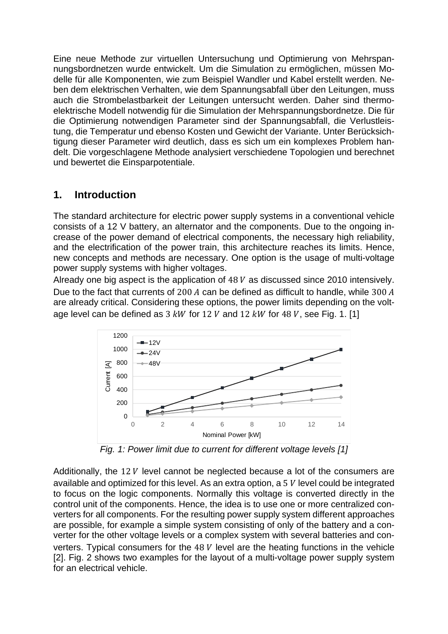Eine neue Methode zur virtuellen Untersuchung und Optimierung von Mehrspannungsbordnetzen wurde entwickelt. Um die Simulation zu ermöglichen, müssen Modelle für alle Komponenten, wie zum Beispiel Wandler und Kabel erstellt werden. Neben dem elektrischen Verhalten, wie dem Spannungsabfall über den Leitungen, muss auch die Strombelastbarkeit der Leitungen untersucht werden. Daher sind thermoelektrische Modell notwendig für die Simulation der Mehrspannungsbordnetze. Die für die Optimierung notwendigen Parameter sind der Spannungsabfall, die Verlustleistung, die Temperatur und ebenso Kosten und Gewicht der Variante. Unter Berücksichtigung dieser Parameter wird deutlich, dass es sich um ein komplexes Problem handelt. Die vorgeschlagene Methode analysiert verschiedene Topologien und berechnet und bewertet die Einsparpotentiale.

#### **1. Introduction**

The standard architecture for electric power supply systems in a conventional vehicle consists of a 12 V battery, an alternator and the components. Due to the ongoing increase of the power demand of electrical components, the necessary high reliability, and the electrification of the power train, this architecture reaches its limits. Hence, new concepts and methods are necessary. One option is the usage of multi-voltage power supply systems with higher voltages.

Already one big aspect is the application of  $48$   $V$  as discussed since 2010 intensively. Due to the fact that currents of 200  $A$  can be defined as difficult to handle, while 300  $A$ are already critical. Considering these options, the power limits depending on the voltage level can be defined as  $3 \, kW$  for  $12 \, V$  and  $12 \, kW$  for  $48 \, V$ , see Fig. 1. [1]



*Fig. 1: Power limit due to current for different voltage levels [1]* 

Additionally, the 12  $V$  level cannot be neglected because a lot of the consumers are available and optimized for this level. As an extra option, a 5 $V$  level could be integrated to focus on the logic components. Normally this voltage is converted directly in the control unit of the components. Hence, the idea is to use one or more centralized converters for all components. For the resulting power supply system different approaches are possible, for example a simple system consisting of only of the battery and a converter for the other voltage levels or a complex system with several batteries and converters. Typical consumers for the  $48$   $V$  level are the heating functions in the vehicle [2]. Fig. 2 shows two examples for the layout of a multi-voltage power supply system for an electrical vehicle.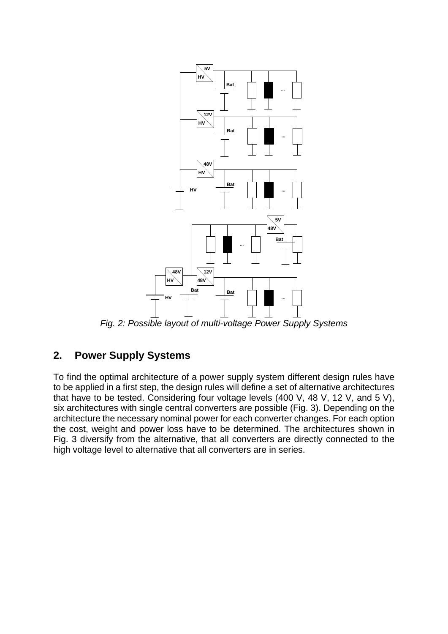

*Fig. 2: Possible layout of multi-voltage Power Supply Systems* 

## **2. Power Supply Systems**

To find the optimal architecture of a power supply system different design rules have to be applied in a first step, the design rules will define a set of alternative architectures that have to be tested. Considering four voltage levels (400 V, 48 V, 12 V, and 5 V), six architectures with single central converters are possible (Fig. 3). Depending on the architecture the necessary nominal power for each converter changes. For each option the cost, weight and power loss have to be determined. The architectures shown in Fig. 3 diversify from the alternative, that all converters are directly connected to the high voltage level to alternative that all converters are in series.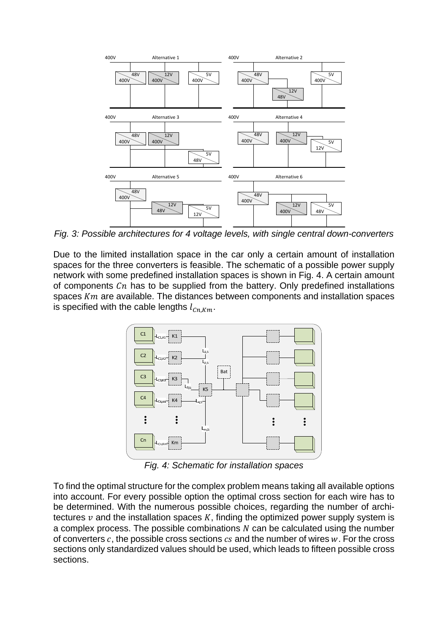

*Fig. 3: Possible architectures for 4 voltage levels, with single central down-converters* 

Due to the limited installation space in the car only a certain amount of installation spaces for the three converters is feasible. The schematic of a possible power supply network with some predefined installation spaces is shown in Fig. 4. A certain amount of components  $\mathfrak{C}_n$  has to be supplied from the battery. Only predefined installations spaces  $Km$  are available. The distances between components and installation spaces is specified with the cable lengths  $l_{cn,Km}$ .



*Fig. 4: Schematic for installation spaces* 

To find the optimal structure for the complex problem means taking all available options into account. For every possible option the optimal cross section for each wire has to be determined. With the numerous possible choices, regarding the number of architectures  $\nu$  and the installation spaces K, finding the optimized power supply system is a complex process. The possible combinations  $N$  can be calculated using the number of converters  $c$ , the possible cross sections  $cs$  and the number of wires  $w$ . For the cross sections only standardized values should be used, which leads to fifteen possible cross sections.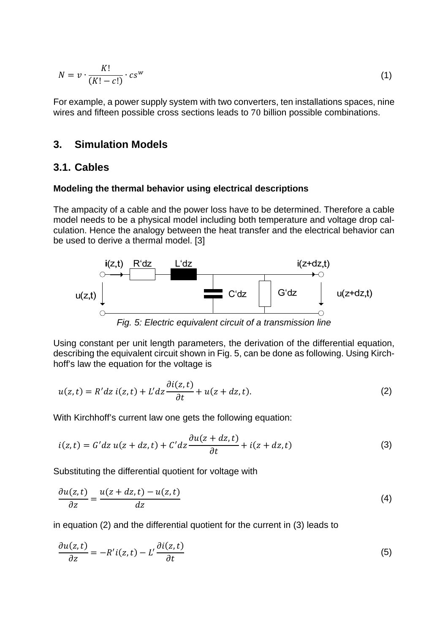$$
N = \nu \cdot \frac{K!}{(K! - c!)} \cdot cs^w \tag{1}
$$

For example, a power supply system with two converters, ten installations spaces, nine wires and fifteen possible cross sections leads to 70 billion possible combinations.

#### **3. Simulation Models**

 $\sim$   $\sim$   $\sim$ 

#### **3.1. Cables**

#### **Modeling the thermal behavior using electrical descriptions**

The ampacity of a cable and the power loss have to be determined. Therefore a cable model needs to be a physical model including both temperature and voltage drop calculation. Hence the analogy between the heat transfer and the electrical behavior can be used to derive a thermal model. [3]



*Fig. 5: Electric equivalent circuit of a transmission line* 

Using constant per unit length parameters, the derivation of the differential equation, describing the equivalent circuit shown in Fig. 5, can be done as following. Using Kirchhoff's law the equation for the voltage is

$$
u(z,t) = R'dz i(z,t) + L'dz \frac{\partial i(z,t)}{\partial t} + u(z+dz,t).
$$
 (2)

With Kirchhoff's current law one gets the following equation:

$$
i(z,t) = G'dz u(z+dz,t) + C'dz \frac{\partial u(z+dz,t)}{\partial t} + i(z+dz,t)
$$
\n(3)

Substituting the differential quotient for voltage with

$$
\frac{\partial u(z,t)}{\partial z} = \frac{u(z+dz,t) - u(z,t)}{dz} \tag{4}
$$

in equation (2) and the differential quotient for the current in (3) leads to

$$
\frac{\partial u(z,t)}{\partial z} = -R'i(z,t) - L'\frac{\partial i(z,t)}{\partial t}
$$
\n(5)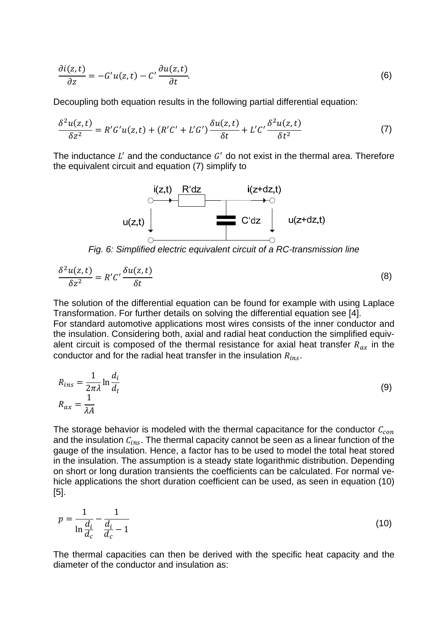$$
\frac{\partial i(z,t)}{\partial z} = -G'u(z,t) - C'\frac{\partial u(z,t)}{\partial t}.
$$
\n(6)

Decoupling both equation results in the following partial differential equation:

$$
\frac{\delta^2 u(z,t)}{\delta z^2} = R'G'u(z,t) + (R'C' + L'G')\frac{\delta u(z,t)}{\delta t} + L'C'\frac{\delta^2 u(z,t)}{\delta t^2}
$$
(7)

The inductance  $L'$  and the conductance  $G'$  do not exist in the thermal area. Therefore the equivalent circuit and equation (7) simplify to



$$
\frac{\delta^2 u(z,t)}{\delta z^2} = R' C' \frac{\delta u(z,t)}{\delta t}
$$
 (8)

The solution of the differential equation can be found for example with using Laplace Transformation. For further details on solving the differential equation see [4].

For standard automotive applications most wires consists of the inner conductor and the insulation. Considering both, axial and radial heat conduction the simplified equivalent circuit is composed of the thermal resistance for axial heat transfer  $R_{ax}$  in the conductor and for the radial heat transfer in the insulation  $R_{ins}$ .

$$
R_{ins} = \frac{1}{2\pi\lambda} \ln \frac{d_i}{d_l}
$$
  
\n
$$
R_{ax} = \frac{1}{\lambda A}
$$
\n(9)

The storage behavior is modeled with the thermal capacitance for the conductor  $C_{con}$ and the insulation  $C_{ins}$ . The thermal capacity cannot be seen as a linear function of the gauge of the insulation. Hence, a factor has to be used to model the total heat stored in the insulation. The assumption is a steady state logarithmic distribution. Depending on short or long duration transients the coefficients can be calculated. For normal vehicle applications the short duration coefficient can be used, as seen in equation (10) [5].

$$
p = \frac{1}{\ln \frac{d_i}{d_c}} - \frac{1}{\frac{d_i}{d_c} - 1}
$$
\n(10)

The thermal capacities can then be derived with the specific heat capacity and the diameter of the conductor and insulation as: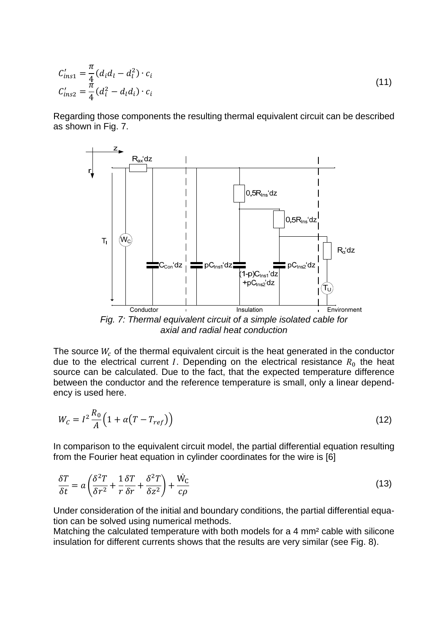$$
C'_{ins1} = \frac{\pi}{4} (d_i d_l - d_l^2) \cdot c_i
$$
  
\n
$$
C'_{ins2} = \frac{\pi}{4} (d_i^2 - d_l d_i) \cdot c_i
$$
\n(11)

Regarding those components the resulting thermal equivalent circuit can be described as shown in Fig. 7.



*axial and radial heat conduction* 

The source  $W_c$  of the thermal equivalent circuit is the heat generated in the conductor due to the electrical current *I*. Depending on the electrical resistance  $R_0$  the heat source can be calculated. Due to the fact, that the expected temperature difference between the conductor and the reference temperature is small, only a linear dependency is used here.

$$
W_C = I^2 \frac{R_0}{A} \left( 1 + \alpha (T - T_{ref}) \right) \tag{12}
$$

In comparison to the equivalent circuit model, the partial differential equation resulting from the Fourier heat equation in cylinder coordinates for the wire is [6]

$$
\frac{\delta T}{\delta t} = a \left( \frac{\delta^2 T}{\delta r^2} + \frac{1}{r} \frac{\delta T}{\delta r} + \frac{\delta^2 T}{\delta z^2} \right) + \frac{\dot{W}_C}{c\rho}
$$
(13)

Under consideration of the initial and boundary conditions, the partial differential equation can be solved using numerical methods.

Matching the calculated temperature with both models for a 4 mm² cable with silicone insulation for different currents shows that the results are very similar (see Fig. 8).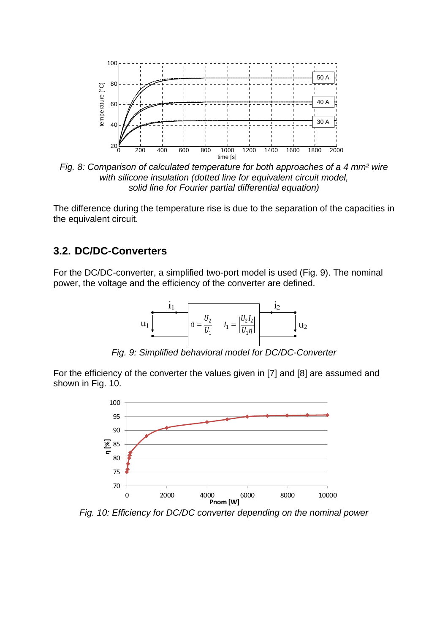

*Fig. 8: Comparison of calculated temperature for both approaches of a 4 mm² wire with silicone insulation (dotted line for equivalent circuit model, solid line for Fourier partial differential equation)* 

The difference during the temperature rise is due to the separation of the capacities in the equivalent circuit.

#### **3.2. DC/DC-Converters**

For the DC/DC-converter, a simplified two-port model is used (Fig. 9). The nominal power, the voltage and the efficiency of the converter are defined.



*Fig. 9: Simplified behavioral model for DC/DC-Converter* 

For the efficiency of the converter the values given in [7] and [8] are assumed and shown in Fig. 10.



*Fig. 10: Efficiency for DC/DC converter depending on the nominal power*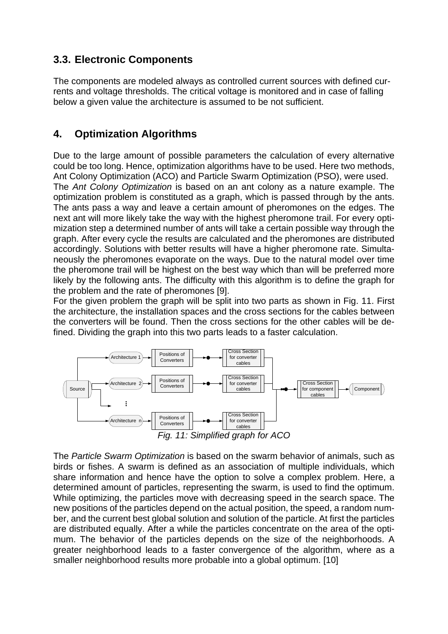## **3.3. Electronic Components**

The components are modeled always as controlled current sources with defined currents and voltage thresholds. The critical voltage is monitored and in case of falling below a given value the architecture is assumed to be not sufficient.

## **4. Optimization Algorithms**

Due to the large amount of possible parameters the calculation of every alternative could be too long. Hence, optimization algorithms have to be used. Here two methods, Ant Colony Optimization (ACO) and Particle Swarm Optimization (PSO), were used. The *Ant Colony Optimization* is based on an ant colony as a nature example. The optimization problem is constituted as a graph, which is passed through by the ants. The ants pass a way and leave a certain amount of pheromones on the edges. The next ant will more likely take the way with the highest pheromone trail. For every optimization step a determined number of ants will take a certain possible way through the graph. After every cycle the results are calculated and the pheromones are distributed accordingly. Solutions with better results will have a higher pheromone rate. Simultaneously the pheromones evaporate on the ways. Due to the natural model over time the pheromone trail will be highest on the best way which than will be preferred more likely by the following ants. The difficulty with this algorithm is to define the graph for the problem and the rate of pheromones [9].

For the given problem the graph will be split into two parts as shown in Fig. 11. First the architecture, the installation spaces and the cross sections for the cables between the converters will be found. Then the cross sections for the other cables will be defined. Dividing the graph into this two parts leads to a faster calculation.



The *Particle Swarm Optimization* is based on the swarm behavior of animals, such as birds or fishes. A swarm is defined as an association of multiple individuals, which share information and hence have the option to solve a complex problem. Here, a determined amount of particles, representing the swarm, is used to find the optimum. While optimizing, the particles move with decreasing speed in the search space. The new positions of the particles depend on the actual position, the speed, a random number, and the current best global solution and solution of the particle. At first the particles are distributed equally. After a while the particles concentrate on the area of the optimum. The behavior of the particles depends on the size of the neighborhoods. A greater neighborhood leads to a faster convergence of the algorithm, where as a smaller neighborhood results more probable into a global optimum. [10]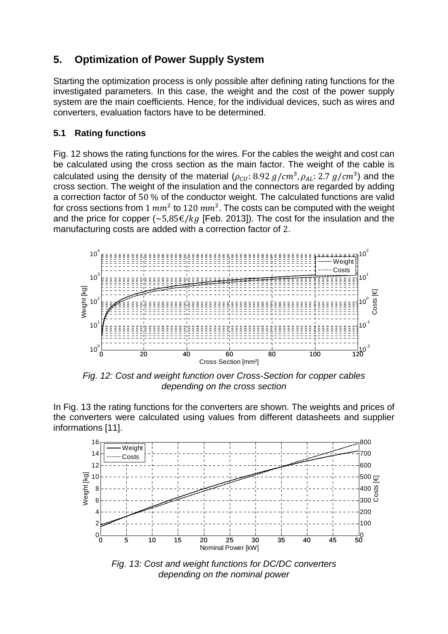# **5. Optimization of Power Supply System**

Starting the optimization process is only possible after defining rating functions for the investigated parameters. In this case, the weight and the cost of the power supply system are the main coefficients. Hence, for the individual devices, such as wires and converters, evaluation factors have to be determined.

#### **5.1 Rating functions**

Fig. 12 shows the rating functions for the wires. For the cables the weight and cost can be calculated using the cross section as the main factor. The weight of the cable is calculated using the density of the material  $(\rho_{\text{CH}}: 8.92 \text{ g/cm}^3, \rho_{\text{AL}}: 2.7 \text{ g/cm}^3)$  and the cross section. The weight of the insulation and the connectors are regarded by adding a correction factor of 50 % of the conductor weight. The calculated functions are valid for cross sections from 1  $mm^2$  to 120  $mm^2$ . The costs can be computed with the weight and the price for copper ( $\sim$  5,85 $\epsilon$ / $kg$  [Feb. 2013]). The cost for the insulation and the manufacturing costs are added with a correction factor of 2.



*Fig. 12: Cost and weight function over Cross-Section for copper cables depending on the cross section* 

In Fig. 13 the rating functions for the converters are shown. The weights and prices of the converters were calculated using values from different datasheets and supplier informations [11].



*Fig. 13: Cost and weight functions for DC/DC converters depending on the nominal power*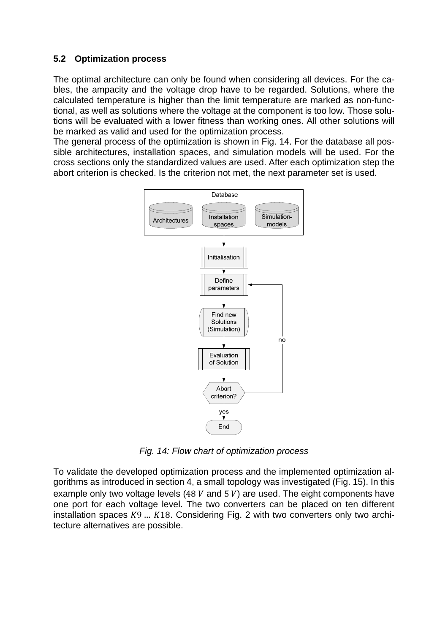#### **5.2 Optimization process**

The optimal architecture can only be found when considering all devices. For the cables, the ampacity and the voltage drop have to be regarded. Solutions, where the calculated temperature is higher than the limit temperature are marked as non-functional, as well as solutions where the voltage at the component is too low. Those solutions will be evaluated with a lower fitness than working ones. All other solutions will be marked as valid and used for the optimization process.

The general process of the optimization is shown in Fig. 14. For the database all possible architectures, installation spaces, and simulation models will be used. For the cross sections only the standardized values are used. After each optimization step the abort criterion is checked. Is the criterion not met, the next parameter set is used.



*Fig. 14: Flow chart of optimization process* 

To validate the developed optimization process and the implemented optimization algorithms as introduced in section 4, a small topology was investigated (Fig. 15). In this example only two voltage levels (48  $V$  and 5  $V$ ) are used. The eight components have one port for each voltage level. The two converters can be placed on ten different installation spaces  $K9$  ...  $K18$ . Considering Fig. 2 with two converters only two architecture alternatives are possible.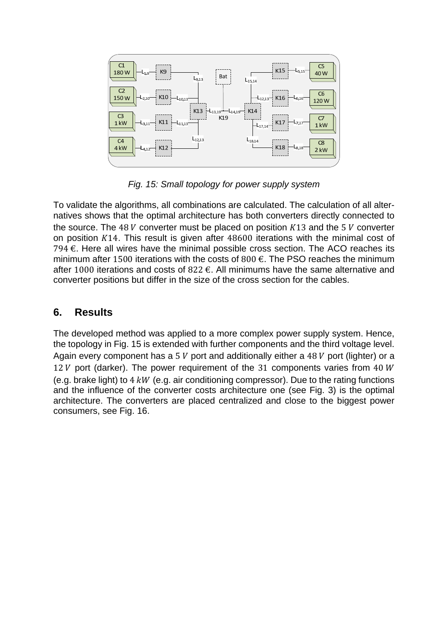

*Fig. 15: Small topology for power supply system* 

To validate the algorithms, all combinations are calculated. The calculation of all alternatives shows that the optimal architecture has both converters directly connected to the source. The 48  $V$  converter must be placed on position  $K13$  and the 5  $V$  converter on position ܭ14. This result is given after 48600 iterations with the minimal cost of 794  $€$ . Here all wires have the minimal possible cross section. The ACO reaches its minimum after 1500 iterations with the costs of 800  $\epsilon$ . The PSO reaches the minimum after 1000 iterations and costs of 822  $\epsilon$ . All minimums have the same alternative and converter positions but differ in the size of the cross section for the cables.

### **6. Results**

The developed method was applied to a more complex power supply system. Hence, the topology in Fig. 15 is extended with further components and the third voltage level. Again every component has a 5  $V$  port and additionally either a 48  $V$  port (lighter) or a 12  $V$  port (darker). The power requirement of the 31 components varies from 40  $W$ (e.g. brake light) to  $4 \, \text{kW}$  (e.g. air conditioning compressor). Due to the rating functions and the influence of the converter costs architecture one (see Fig. 3) is the optimal architecture. The converters are placed centralized and close to the biggest power consumers, see Fig. 16.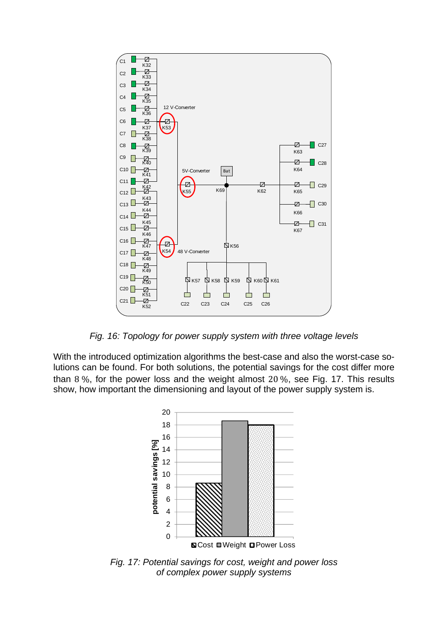

*Fig. 16: Topology for power supply system with three voltage levels* 

With the introduced optimization algorithms the best-case and also the worst-case solutions can be found. For both solutions, the potential savings for the cost differ more than 8 $\%$ , for the power loss and the weight almost 20 $\%$ , see Fig. 17. This results show, how important the dimensioning and layout of the power supply system is.



*Fig. 17: Potential savings for cost, weight and power loss of complex power supply systems*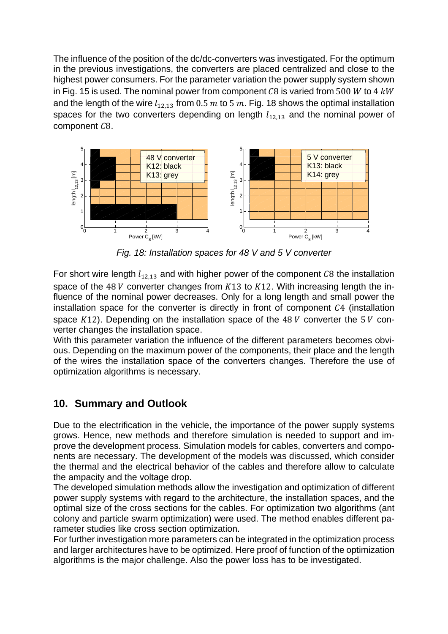The influence of the position of the dc/dc-converters was investigated. For the optimum in the previous investigations, the converters are placed centralized and close to the highest power consumers. For the parameter variation the power supply system shown in Fig. 15 is used. The nominal power from component C8 is varied from 500 W to 4  $kW$ and the length of the wire  $l_{12,13}$  from 0.5  $m$  to 5  $m$ . Fig. 18 shows the optimal installation spaces for the two converters depending on length  $l_{12,13}$  and the nominal power of component  $C8$ .



*Fig. 18: Installation spaces for 48 V and 5 V converter* 

For short wire length  $l_{12,13}$  and with higher power of the component  $\mathcal{C}8$  the installation space of the 48 V converter changes from  $K13$  to  $K12$ . With increasing length the influence of the nominal power decreases. Only for a long length and small power the installation space for the converter is directly in front of component  $C4$  (installation space  $K12$ ). Depending on the installation space of the 48  $V$  converter the 5  $V$  converter changes the installation space.

With this parameter variation the influence of the different parameters becomes obvious. Depending on the maximum power of the components, their place and the length of the wires the installation space of the converters changes. Therefore the use of optimization algorithms is necessary.

## **10. Summary and Outlook**

Due to the electrification in the vehicle, the importance of the power supply systems grows. Hence, new methods and therefore simulation is needed to support and improve the development process. Simulation models for cables, converters and components are necessary. The development of the models was discussed, which consider the thermal and the electrical behavior of the cables and therefore allow to calculate the ampacity and the voltage drop.

The developed simulation methods allow the investigation and optimization of different power supply systems with regard to the architecture, the installation spaces, and the optimal size of the cross sections for the cables. For optimization two algorithms (ant colony and particle swarm optimization) were used. The method enables different parameter studies like cross section optimization.

For further investigation more parameters can be integrated in the optimization process and larger architectures have to be optimized. Here proof of function of the optimization algorithms is the major challenge. Also the power loss has to be investigated.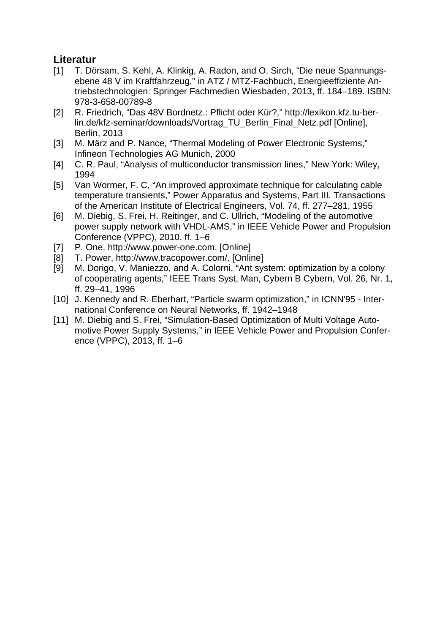## **Literatur**

- [1] T. Dörsam, S. Kehl, A. Klinkig, A. Radon, and O. Sirch, "Die neue Spannungsebene 48 V im Kraftfahrzeug," in ATZ / MTZ-Fachbuch, Energieeffiziente Antriebstechnologien: Springer Fachmedien Wiesbaden, 2013, ff. 184–189. ISBN: 978-3-658-00789-8
- [2] R. Friedrich, "Das 48V Bordnetz.: Pflicht oder Kür?," http://lexikon.kfz.tu-berlin.de/kfz-seminar/downloads/Vortrag\_TU\_Berlin\_Final\_Netz.pdf [Online], Berlin, 2013
- [3] M. März and P. Nance, "Thermal Modeling of Power Electronic Systems," Infineon Technologies AG Munich, 2000
- [4] C. R. Paul, "Analysis of multiconductor transmission lines," New York: Wiley, 1994
- [5] Van Wormer, F. C, "An improved approximate technique for calculating cable temperature transients," Power Apparatus and Systems, Part III. Transactions of the American Institute of Electrical Engineers, Vol. 74, ff. 277–281, 1955
- [6] M. Diebig, S. Frei, H. Reitinger, and C. Ullrich, "Modeling of the automotive power supply network with VHDL-AMS," in IEEE Vehicle Power and Propulsion Conference (VPPC), 2010, ff. 1–6
- [7] P. One, http://www.power-one.com. [Online]
- [8] T. Power, http://www.tracopower.com/. [Online]
- [9] M. Dorigo, V. Maniezzo, and A. Colorni, "Ant system: optimization by a colony of cooperating agents," IEEE Trans Syst, Man, Cybern B Cybern, Vol. 26, Nr. 1, ff. 29–41, 1996
- [10] J. Kennedy and R. Eberhart, "Particle swarm optimization," in ICNN'95 International Conference on Neural Networks, ff. 1942–1948
- [11] M. Diebig and S. Frei, "Simulation-Based Optimization of Multi Voltage Automotive Power Supply Systems," in IEEE Vehicle Power and Propulsion Conference (VPPC), 2013, ff. 1–6